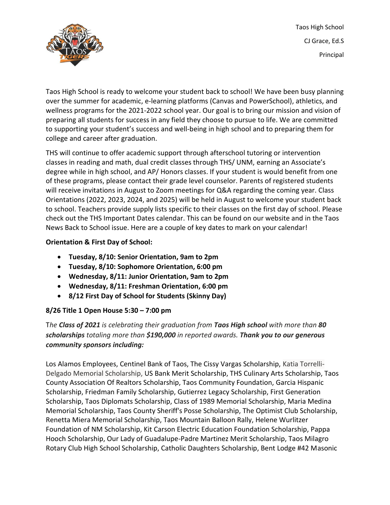Taos High School CJ Grace, Ed.S Principal



Taos High School is ready to welcome your student back to school! We have been busy planning over the summer for academic, e-learning platforms (Canvas and PowerSchool), athletics, and wellness programs for the 2021-2022 school year. Our goal is to bring our mission and vision of preparing all students for success in any field they choose to pursue to life. We are committed to supporting your student's success and well-being in high school and to preparing them for college and career after graduation.

THS will continue to offer academic support through afterschool tutoring or intervention classes in reading and math, dual credit classes through THS/ UNM, earning an Associate's degree while in high school, and AP/ Honors classes. If your student is would benefit from one of these programs, please contact their grade level counselor. Parents of registered students will receive invitations in August to Zoom meetings for Q&A regarding the coming year. Class Orientations (2022, 2023, 2024, and 2025) will be held in August to welcome your student back to school. Teachers provide supply lists specific to their classes on the first day of school. Please check out the THS Important Dates calendar. This can be found on our website and in the Taos News Back to School issue. Here are a couple of key dates to mark on your calendar!

## **Orientation & First Day of School:**

- **Tuesday, 8/10: Senior Orientation, 9am to 2pm**
- **Tuesday, 8/10: Sophomore Orientation, 6:00 pm**
- **Wednesday, 8/11: Junior Orientation, 9am to 2pm**
- **Wednesday, 8/11: Freshman Orientation, 6:00 pm**
- **8/12 First Day of School for Students (Skinny Day)**

## **8/26 Title 1 Open House 5:30 – 7:00 pm**

T*he Class of 2021 is celebrating their graduation from Taos High school with more than 80 scholarships totaling more than \$190,000 in reported awards. Thank you to our generous community sponsors including:*

Los Alamos Employees, Centinel Bank of Taos, The Cissy Vargas Scholarship, Katia Torrelli-Delgado Memorial Scholarship, US Bank Merit Scholarship, THS Culinary Arts Scholarship, Taos County Association Of Realtors Scholarship, Taos Community Foundation, Garcia Hispanic Scholarship, Friedman Family Scholarship, Gutierrez Legacy Scholarship, First Generation Scholarship, Taos Diplomats Scholarship, Class of 1989 Memorial Scholarship, Maria Medina Memorial Scholarship, Taos County Sheriff's Posse Scholarship, The Optimist Club Scholarship, Renetta Miera Memorial Scholarship, Taos Mountain Balloon Rally, Helene Wurlitzer Foundation of NM Scholarship, Kit Carson Electric Education Foundation Scholarship, Pappa Hooch Scholarship, Our Lady of Guadalupe-Padre Martinez Merit Scholarship, Taos Milagro Rotary Club High School Scholarship, Catholic Daughters Scholarship, Bent Lodge #42 Masonic